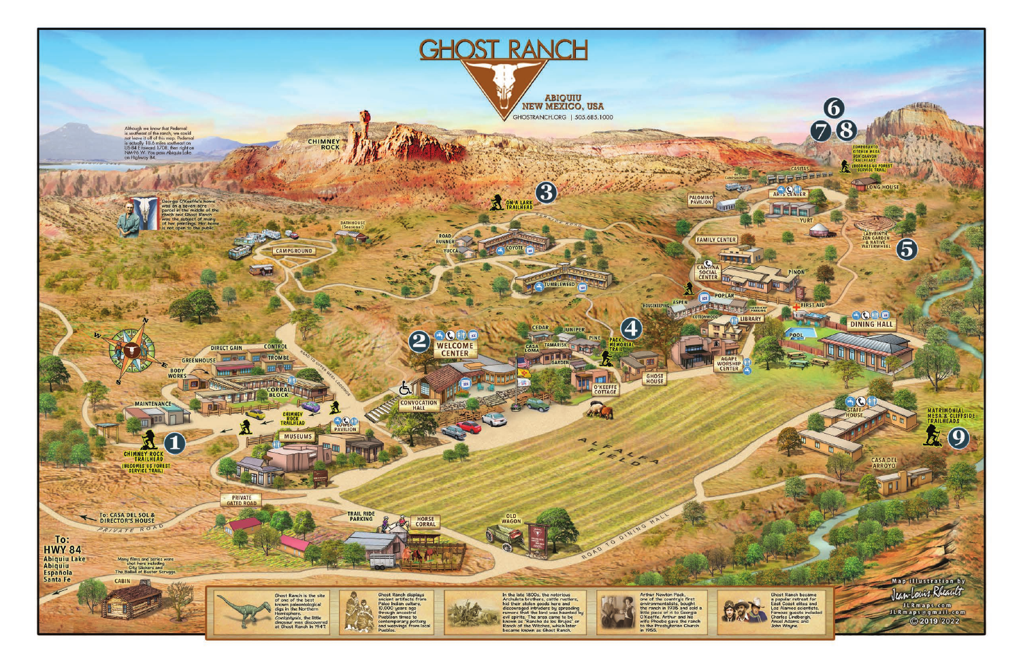